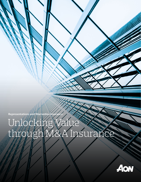Representations and Warranties Insurance

# Unlocking<br>through W thaile Walle

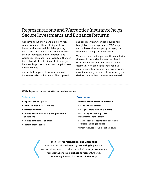### Representations and Warranties Insurance helps Secure Investments and Enhance Returns

Concerns about known and unknown risks can prevent a deal from closing or leave buyers with unwanted liabilities, placing both sellers and buyers at risk of not realizing their desired goals. Representations and warranties insurance is a proven tool that can both allow deal professionals to bridge gaps between buyers and sellers and help improve deal outcomes.

Aon leads the representations and warranties insurance market both in terms of limits placed

and policies written. Your deal is supported by a global team of experienced M&A lawyers and professionals who expertly manage your transaction through the entire process.

We understand and appreciate the complexity, time-sensitivity and unique nature of each deal, and will become an extension of your deal team. Aon can help identify red-flag issues before they become deal breakers and, most importantly, we can help you close your deals on time with maximum value realized.

#### With Representations & Warranties Insurance:

#### Sellers can

- Expedite the sale process
- Exit deals with increased funds
- Attract best offers
- Reduce or eliminate post-closing indemnity obligations
- Reduce contingent liabilities
- Protect passive sellers

#### Buyers can

- Increase maximum indemnification
- Extend survival periods
- Emerge as more attractive bidders
- Protect key relationships with management at the target
- Ease collection concerns from distressed or credit-challenged sellers
- Obtain recourse for unidentified issues

#### The use of representations and warranties insurance can bridge the gap by **protecting buyers** from losses resulting from a breach of the seller's or **target company's** representations in a purchase agreement, thereby eliminating the need for a robust indemnity.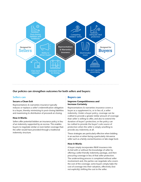

#### Our policies can strengthen outcomes for both sellers and buyers:

#### Sellers can

#### Secure a Clean Exit

Representations & warranties insurance typically reduces or replaces a seller's indemnification obligation to a buyer, thereby minimizing its post-closing liabilities and maximizing its distribution of proceeds at closing.

#### How it Works

Sellers offer potential bidders an insurance policy in lieu of an indemnity supported by an escrow. This enables buyers to negotiate similar or even better coverage than the seller would have provided through a traditional indemnity structure.

#### Buyers can

#### Improve Competitiveness and Increase Certainty

Representations & warranties insurance covers a buyer as a supplement to, or in lieu of, a seller indemnity. Under a buyer policy, coverage can be crafted to provide a greater dollar amount of coverage than seller is willing to offer, and also to extend the duration of buyer's protection; or the policy can be crafted to provide the buyer's sole source of protection when the seller is simply unwilling to provide any indemnity at all.

These strategies are particularly effective when bidding in an auction or when facing a particularly risk-averse seller such as a family-owned business or late-stage fund.

#### How it Works

A buyer simply incorporates R&W insurance into its bid with or without the knowledge of seller by offering a seller-friendly indemnity package, and then procuring coverage in lieu of that seller protection. The underwriting process is completed without seller involvement and, the parties can negotiate who covers the cost of the coverage; some buyers simply bake the cost of coverage into their valuation, effectively (but not explicitly) shifting the cost to the seller.